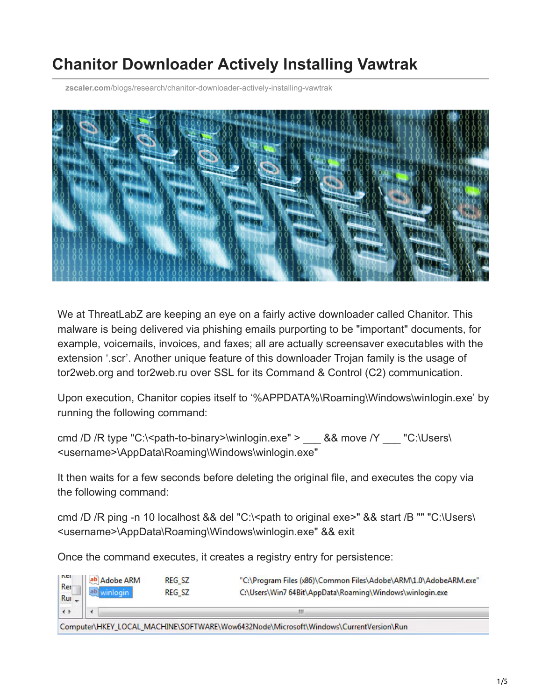# **Chanitor Downloader Actively Installing Vawtrak**

**zscaler.com**[/blogs/research/chanitor-downloader-actively-installing-vawtrak](https://www.zscaler.com/blogs/research/chanitor-downloader-actively-installing-vawtrak)



We at ThreatLabZ are keeping an eye on a fairly active downloader called Chanitor. This malware is being delivered via phishing emails purporting to be "important" documents, for example, voicemails, invoices, and faxes; all are actually screensaver executables with the extension '.scr'. Another unique feature of this downloader Trojan family is the usage of tor2web.org and tor2web.ru over SSL for its Command & Control (C2) communication.

Upon execution, Chanitor copies itself to '%APPDATA%\Roaming\Windows\winlogin.exe' by running the following command:

cmd /D /R type "C:\<path-to-binary>\winlogin.exe" > \_\_\_ && move /Y \_\_\_ "C:\Users\ <username>\AppData\Roaming\Windows\winlogin.exe"

It then waits for a few seconds before deleting the original file, and executes the copy via the following command:

cmd /D /R ping -n 10 localhost && del "C:\<path to original exe>" && start /B "" "C:\Users\ <username>\AppData\Roaming\Windows\winlogin.exe" && exit

Once the command executes, it creates a registry entry for persistence:

| <b>NEI</b><br>Rer<br>$Run -$ | ab Adobe ARM | <b>REG SZ</b><br><b>REG SZ</b> | "C:\Program Files (x86)\Common Files\Adobe\ARM\1.0\AdobeARM.exe"<br>C:\Users\Win7 64Bit\AppData\Roaming\Windows\winlogin.exe |
|------------------------------|--------------|--------------------------------|------------------------------------------------------------------------------------------------------------------------------|
| $\leftrightarrow$            |              |                                | ш                                                                                                                            |
|                              |              |                                | Computer\HKEY_LOCAL_MACHINE\SOFTWARE\Wow6432Node\Microsoft\Windows\CurrentVersion\Run                                        |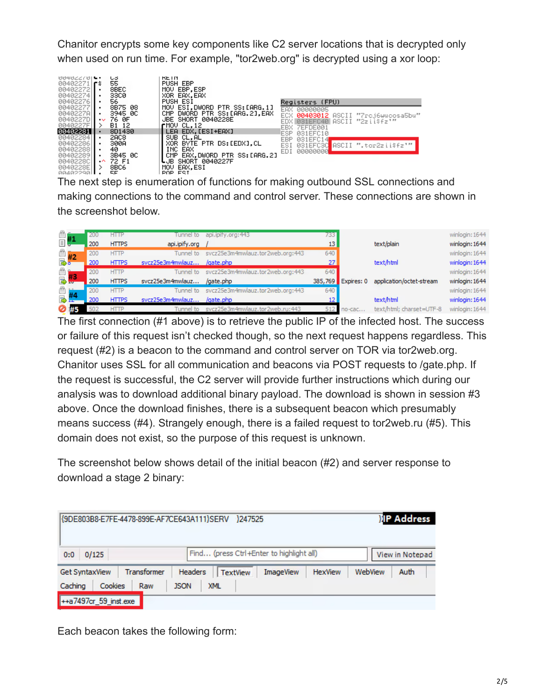Chanitor encrypts some key components like C2 server locations that is decrypted only when used on run time. For example, "tor2web.org" is decrypted using a xor loop:



making connections to the command and control server. These connections are shown in the screenshot below.

| $\overset{\circ}{\equiv}$ #1 | 200 | <b>HTTP</b>  | Tunnel to        | api.ipity.org: 443                         | 7331            |                    |                          | winlogin: 1644 |
|------------------------------|-----|--------------|------------------|--------------------------------------------|-----------------|--------------------|--------------------------|----------------|
|                              | 200 | <b>HTTPS</b> | api.ipify.org    |                                            | 13 <sup>1</sup> |                    | text/plain               | winlogin: 1644 |
| $\frac{2}{3}$ #2             | 200 | <b>HTTP</b>  |                  | Tunnel to svcz25e3m4mwlauz.tor2web.org:443 | 640             |                    |                          | winlogin: 1644 |
|                              | 200 | <b>HTTPS</b> | svcz25e3m4mwlauz | /gate.php                                  | 27              |                    | text/html                | winlogin: 1644 |
|                              | 200 | <b>HTTP</b>  |                  | Tunnel to svcz25e3m4mwlauz.tor2web.org:443 | 640             |                    |                          | winlogin: 1644 |
| 感想                           | 200 | <b>HTTPS</b> | svcz25e3m4mwlauz | /gate.php                                  |                 | 385,769 Expires: 0 | application/octet-stream | winlogin: 1644 |
|                              | 200 | <b>HTTP</b>  | Tunnel to        | svcz25e3m4mwlauz.tor2web.org:443           | 640             |                    |                          | winlogin: 1644 |
|                              | 200 | <b>HTTPS</b> | svcz25e3m4mwlauz | /gate.php                                  | 12              |                    | text/html                | winlogin: 1644 |
| ⊘ #5                         | 502 | <b>HTTP</b>  | Tunnel to        | svcz25e3m4mwlauz.tor2web.ru:443            |                 | $no$ -cac          | text/html; charset=UTF-8 | winlogin: 1644 |

The first connection (#1 above) is to retrieve the public IP of the infected host. The success or failure of this request isn't checked though, so the next request happens regardless. This request (#2) is a beacon to the command and control server on TOR via tor2web.org. Chanitor uses SSL for all communication and beacons via POST requests to /gate.php. If the request is successful, the C2 server will provide further instructions which during our analysis was to download additional binary payload. The download is shown in session #3 above. Once the download finishes, there is a subsequent beacon which presumably means success (#4). Strangely enough, there is a failed request to tor2web.ru (#5). This domain does not exist, so the purpose of this request is unknown.

The screenshot below shows detail of the initial beacon (#2) and server response to download a stage 2 binary:

| {9DE803B8-E7FE-4478-899E-AF7CE643A111}SERV }247525 |                    | <b>IP Address</b>         |                                          |                |         |                 |
|----------------------------------------------------|--------------------|---------------------------|------------------------------------------|----------------|---------|-----------------|
| 0/125<br>0:0                                       |                    |                           | Find (press Ctrl+Enter to highlight all) |                |         | View in Notepad |
| <b>Get SyntaxView</b>                              | <b>Transformer</b> | Headers                   | <b>ImageView</b><br><b>TextView</b>      | <b>HexView</b> | WebView | Auth            |
| <b>Cookies</b><br>Caching                          | Raw                | <b>XML</b><br><b>JSON</b> |                                          |                |         |                 |
| ++a7497cr_59_inst.exe                              |                    |                           |                                          |                |         |                 |

Each beacon takes the following form: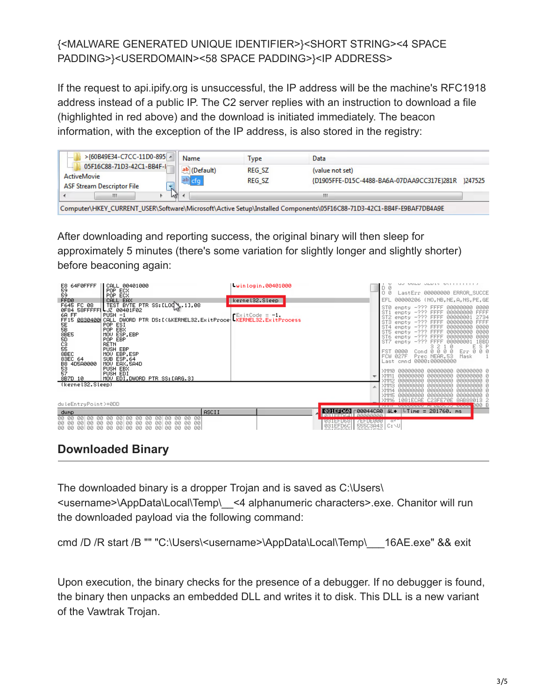#### {<MALWARE GENERATED UNIQUE IDENTIFIER>}<SHORT STRING><4 SPACE PADDING>}<USERDOMAIN><58 SPACE PADDING>}<IP ADDRESS>

If the request to api.ipify.org is unsuccessful, the IP address will be the machine's RFC1918 address instead of a public IP. The C2 server replies with an instruction to download a file (highlighted in red above) and the download is initiated immediately. The beacon information, with the exception of the IP address, is also stored in the registry:

|       |                                                                                                                                                                                                                                                  | Name         | Type          | Data                                       |         |
|-------|--------------------------------------------------------------------------------------------------------------------------------------------------------------------------------------------------------------------------------------------------|--------------|---------------|--------------------------------------------|---------|
| 1.1.1 |                                                                                                                                                                                                                                                  | ab (Default) | <b>REG SZ</b> | (value not set)                            |         |
|       |                                                                                                                                                                                                                                                  | ab.          | <b>REG SZ</b> | {D1905FFE-D15C-4488-BA6A-07DAA9CC317E}281R | 1247525 |
|       | m.                                                                                                                                                                                                                                               |              |               | Ш                                          |         |
|       | >{60B49E34-C7CC-11D0-895  ^<br>05F16C88-71D3-42C1-BB4F-Ir<br>ActiveMovie<br><b>ASF Stream Descriptor File</b><br>N.<br>M<br>Computer\HKEV_CURRENT_USER\Software\Microsoft\Active Setup\Installed Components\05E16C88-71D3-42C1-RR4E-F9RAE7DR4A9E |              |               |                                            |         |

After downloading and reporting success, the original binary will then sleep for approximately 5 minutes (there's some variation for slightly longer and slightly shorter) before beaconing again:

| E8 64F0FFFF<br>59<br>59<br>SE<br>SB<br>SBE5<br>5D<br>C3<br>S5<br>8BEC<br>83EC 64<br>88 4DŠA0000<br>53<br>57<br>57 -- .-<br>8B7D 10<br>(kerne132.Sleep) | CALL 00401000<br>POP ECX<br>POP ECX<br>FFD0<br>F645 FC 08   TEST BYTE PTR SS:[LOQ\\.1],08<br>0F84_58FFFFFL_JZ_00401F02<br>6A FF   PUSH -1<br>FF15 0830400 CALL DWORD PTR DS:IK&KERNEL32.ExitProce   KERNEL32.ExitProcess<br>POP ESI<br>POP EBX<br>MOU ESP, EBP<br>POP EBP<br><b>RETN</b><br>PUSH EBP.<br>MOU EBP, ESP<br>SUB ESP, 64<br>MOV EAX, 5A4D<br>PUSH EBX<br>PUSH EDI<br>MOV EDI, DWORD PTR SS: [ARG.3] | Winlogin.00401000<br>kernel32.Sleep |                                                                        | יוווווויט טבעוט טגעשט טב<br>D 0<br>00<br>LastErr 00000000 ERROR_SUCCE<br>00000206 (NO, NB, NE, A, NS, PE, GE<br>EFL.<br>ST0<br>empty -??? FFFF 00000000 0000<br>empty -??? FFFF 00000000<br>ST1<br>FFFF<br>ST <sub>2</sub><br>empty -??? FFFF 00000001<br>2734<br>ST3<br>FFFF<br>empty -??? FFFF 00000000<br>ST4<br>empty -??? FFFF 00000000<br>0000<br>empty -??? FFFF 00000000<br>ST5<br>0000<br>ST6<br>empty -??? FFFF<br>00000000<br>0000<br>empty -??? FFFF<br>1BBD<br>ST7<br>0000000<br>ESP<br>$\begin{smallmatrix}&&&3&2&1&0\0&\text{0}&0&0&0&0\end{smallmatrix}$<br>Err.<br>000<br>FST 0000<br>027F Prec NEAR.53<br>FCW.<br>Mask<br>Last cmnd 0000:00000000<br>000000000 00000000 0<br>00000000<br>00000000<br>00000000<br>00000000 0<br>00000000<br>00000000<br>00000000 0<br>00000000<br>00000000 00000000 0<br>00000000<br>00000000<br>- ААААААААА - А<br>00000000<br>00000000<br>00000000<br>C23EEZ0E<br>1081FCAE<br>8AB88013 2 |
|--------------------------------------------------------------------------------------------------------------------------------------------------------|-----------------------------------------------------------------------------------------------------------------------------------------------------------------------------------------------------------------------------------------------------------------------------------------------------------------------------------------------------------------------------------------------------------------|-------------------------------------|------------------------------------------------------------------------|---------------------------------------------------------------------------------------------------------------------------------------------------------------------------------------------------------------------------------------------------------------------------------------------------------------------------------------------------------------------------------------------------------------------------------------------------------------------------------------------------------------------------------------------------------------------------------------------------------------------------------------------------------------------------------------------------------------------------------------------------------------------------------------------------------------------------------------------------------------------------------------------------------------------------------------------|
| duleEntryPoint>+0DD                                                                                                                                    |                                                                                                                                                                                                                                                                                                                                                                                                                 |                                     |                                                                        | <b>ИЙИ Е</b><br><b>EXHIBITION CONSULTING IN THE REPORT OF A CONSULT</b>                                                                                                                                                                                                                                                                                                                                                                                                                                                                                                                                                                                                                                                                                                                                                                                                                                                                     |
| dump<br>00 00<br>00 00<br>00<br>00<br>00<br>-00<br>-001<br>00<br>00 00<br>ЙЙ<br><b>ЙЙ</b><br>-ЙЙ                                                       | 00<br>00<br>00 00<br>00 00<br>- 66<br>00 00<br>-00<br>00   00<br>00<br>00<br>00<br>00<br>00<br>ØЙ<br>ØЙ.<br>00<br>ЙЙ<br>-001<br>ЙЙ<br>ЙЙ<br>ūЙ<br>ЙЙ<br>ЙЙ<br>ЙЙ<br>ЙЙ<br>йй                                                                                                                                                                                                                                    | <b>ASCII</b>                        | 031EFD60 <br><b>NSIEFDes</b><br><b>SEFTENNA</b><br>031EFD6C   555C3A43 | 00044CA0 aL+<br> LTime = 281760. ms<br>$\alpha$<br>IC: NUI                                                                                                                                                                                                                                                                                                                                                                                                                                                                                                                                                                                                                                                                                                                                                                                                                                                                                  |

## **Downloaded Binary**

The downloaded binary is a dropper Trojan and is saved as C:\Users\ <username>\AppData\Local\Temp\\_\_<4 alphanumeric characters>.exe. Chanitor will run the downloaded payload via the following command:

cmd /D /R start /B "" "C:\Users\<username>\AppData\Local\Temp\ \_\_16AE.exe" && exit

Upon execution, the binary checks for the presence of a debugger. If no debugger is found, the binary then unpacks an embedded DLL and writes it to disk. This DLL is a new variant of the Vawtrak Trojan.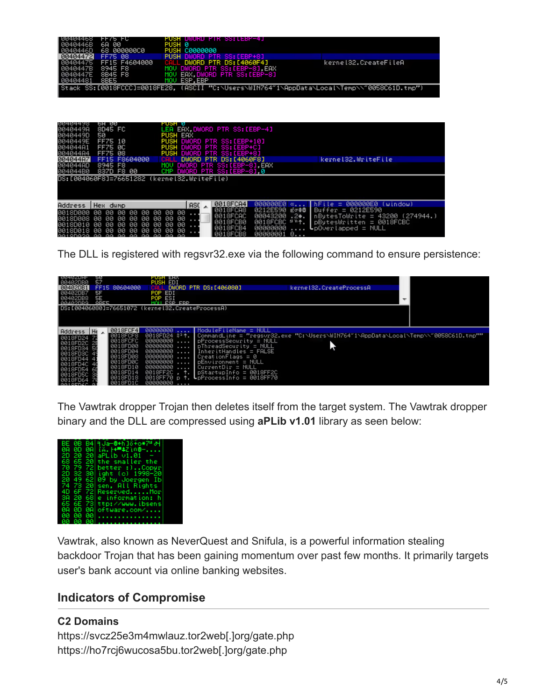| I NN4N4468 | TEMS FO       | PUSH DWURD PIR SS:LEBP-4J        |                                                                                              |
|------------|---------------|----------------------------------|----------------------------------------------------------------------------------------------|
| 0040446B   | 6A 00         | PUSH 0                           |                                                                                              |
| 8040446D   | 68 00000000   | PUSH C0000000                    |                                                                                              |
| 00404472   | FF75 08       | <b>PUSH DWORD PTR SS:[EBP+8]</b> |                                                                                              |
| 80404475   | FF15 F4604000 | CALL DWORD PTR DS:[4060F4]       | kernel32.CreateFileA                                                                         |
| 8040447B   | 8945 F8       | MOV DWORD PTR SS:[EBP-8].EAX     |                                                                                              |
| 8040447E   | 8B45 F8       | MOV EAX.DWORD PTR SS:[EBP-8]     |                                                                                              |
| 80404481   | 8BE5          | MOU ESP.EBP                      |                                                                                              |
|            |               |                                  | [Stack SS:[0018FCCC]=0018FE28, (ASCII "C:\Users\WIN764~1\AppData\Local\Temp\\~0058C61D.tmp") |
|            |               |                                  |                                                                                              |
|            |               |                                  |                                                                                              |

| 00404478<br>0040449A<br>0040449D<br>0040449E<br>004044A1<br>004044A4 | ън юю<br>8D45 FC<br>50<br>FF75 10<br>FF75 0C<br>FF75 08                                                                                            | гизн и<br>LEA EAX.DWORD PTR SS:[EBP-4]<br><b>PUSH EAX</b><br>PUSH DWORD PTR SS: [EBP+10]<br><b>PUSH DWORD PTR SS:[EBP+C]</b><br>PUSH DWORD PTR SS: [EBP+8] |                                                                                                                                                                                                                                |
|----------------------------------------------------------------------|----------------------------------------------------------------------------------------------------------------------------------------------------|------------------------------------------------------------------------------------------------------------------------------------------------------------|--------------------------------------------------------------------------------------------------------------------------------------------------------------------------------------------------------------------------------|
| 004044A7                                                             | FF15 F8604000                                                                                                                                      | DWORD PTR DS: [4060F8]                                                                                                                                     | kernel32.WriteFile                                                                                                                                                                                                             |
| 004044AD                                                             | 8945 F8                                                                                                                                            | DWORD PTR SS:[EBP-8].EAX<br>MOU                                                                                                                            |                                                                                                                                                                                                                                |
| 004044B0                                                             | 837D F8 00                                                                                                                                         | DWORD PTR SS: [EBP-8] 0<br>CMP                                                                                                                             |                                                                                                                                                                                                                                |
|                                                                      |                                                                                                                                                    | DS:[004060F8]=76651282 (kernel32.WriteFile)                                                                                                                |                                                                                                                                                                                                                                |
| Address                                                              | Hex.<br>dump                                                                                                                                       | 0018FCA4<br>ASC                                                                                                                                            | <b>BRAARAEA</b><br><b>ЙОЙОООЕО</b><br>hFile<br>(window)                                                                                                                                                                        |
| 0018D000<br>0018D008<br>0018D010<br>0018D018 AA                      | 00 00<br>ØЙ<br>ØЙ<br>ØЙ<br>ØЙ<br>ØЙ<br>ØЙ<br>ØЙ<br>ии<br>ØЙ<br>ØЙ<br>ЙЙ<br>ЙЙ<br>ии<br>ЙЙ<br>ЙЙ<br>ЙЙ<br>ЙЙ<br>aatonaca aa aa aa aa aa aa aa aa aa | 0018FCA8<br>00 00<br>- 00<br>$\cdots$<br>0018FCAC<br>00<br>ØЙ<br>ØЙ.<br>.<br>0018FCB0<br>00<br>ØЙ<br>ЙЙ<br>0018FCB4<br>ЙЙ<br>ØЙ<br>ØЙ<br>0018FCB8          | 0212E590 Eo\$@<br>$Buffer = 0212E590$<br>00043200<br>$.2$ .<br>  nBytesToWrite = 43200 (274944.)<br>0018FCBC<br>$1 n +$ .<br>pBytesWritten = 0018FCBC<br>00000000<br>$\textsf{L}$ pOverlapped = NULL<br>00000001<br>$-6$ $\mu$ |

The DLL is registered with regsvr32.exe via the following command to ensure persistence:

| 50<br>57<br>00402080<br>FF15 80604000<br>00402DB1<br>SF<br>00402DB7<br>5E<br>00402DB8<br><b>ORFE</b>                                                                                                                                                                    | PUSH EHX<br><b>PUSH EDI</b><br>DWORD PTR DS: [406080]<br>POP EDI<br>POP ESI<br>MOUL ESP ERP                                                                                                                                                         | kernel32. CreateProcessA                                                                                                                                                                                                                                                                                                     |  |
|-------------------------------------------------------------------------------------------------------------------------------------------------------------------------------------------------------------------------------------------------------------------------|-----------------------------------------------------------------------------------------------------------------------------------------------------------------------------------------------------------------------------------------------------|------------------------------------------------------------------------------------------------------------------------------------------------------------------------------------------------------------------------------------------------------------------------------------------------------------------------------|--|
| DS:[00406080]=76651072 (kernel32.CreateProcessA)                                                                                                                                                                                                                        |                                                                                                                                                                                                                                                     |                                                                                                                                                                                                                                                                                                                              |  |
| 0018FCF41<br>$Address He \triangle$<br>0018FCF8<br>0018FD24<br>0018FCFC<br>0018FD2C<br>0018FD00<br>0018FD34<br>0018FD04<br>0018FD3C<br>0018FD08<br>0018FD44<br>0018FD0C<br>0018FD4C<br>0018FD10<br>0018FD54<br>0018FD14<br>0018FD5C<br>0018FD18<br>8018ED64<br>0018FD1C | 00000000<br>0018FD24 \$ª↑.<br>00000000<br>$- - - -$<br>00000000<br>00000000<br>1.1.1<br>$00000000$ I CreationFlags = 0<br>00000000<br>$- - - -$<br>00000000<br>.<br>0018FF2C . t.<br>0018FF70 $p +$ . L $p$ ProcessInfo = 0018FF70<br>00000000<br>. | ModuleFileName = NULL<br>∥CommandLine = "regsvr32.exe "C:\Users\WIN764~1\AppData\Local\Temp\\~0058C61D.tmp""<br>$\blacksquare$ pProcessSecurity = NULL<br>$\ldots$   pThreadSecurity = NULL<br>$\blacksquare$ InheritHandles = FALSE<br>$I$ pEnvironment = NULL<br>$L$ Current Dir = NULL<br>$\vert$ pStartupInfo = 0018FF2C |  |

The Vawtrak dropper Trojan then deletes itself from the target system. The Vawtrak dropper binary and the DLL are compressed using **aPLib v1.01** library as seen below:

|          | BE 0B B4 3Ja-8+h16+o*74 a4                                |  |
|----------|-----------------------------------------------------------|--|
| 20       | 08 08 08 (ä. <del>14 1</del> 2)08-<br>20 20 aPLib v1.01 - |  |
|          | 68 65 20 the smaller the                                  |  |
| 70       | 79 72 better :)Copyr<br>2D 32 30 ight (c) 1998-20         |  |
|          | 20 49 62 09 by Joergen Ib                                 |  |
|          | 74 73 20 sen, All Rights<br>4D 6F 72 ReservedMor          |  |
|          | 3A 20 68 e information: h                                 |  |
|          | 65 6E 73 ttp://www.ibsens<br>0A 0D 0A oftware.com/        |  |
|          | 00 00 00                                                  |  |
| 00 00 00 | .<br>.                                                    |  |

Vawtrak, also known as NeverQuest and Snifula, is a powerful information stealing backdoor Trojan that has been gaining momentum over past few months. It primarily targets user's bank account via online banking websites.

## **Indicators of Compromise**

#### **C2 Domains**

https://svcz25e3m4mwlauz.tor2web[.]org/gate.php https://ho7rcj6wucosa5bu.tor2web[.]org/gate.php